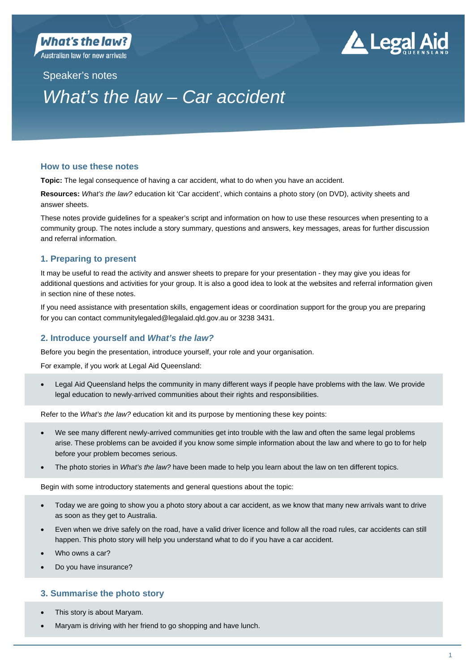Australian law for new arrivals

# . Legal Aid

Speaker's notes

# *What's the law – Car accident*

# **How to use these notes**

**Topic:** The legal consequence of having a car accident, what to do when you have an accident.

**Resources:** *What's the law?* education kit 'Car accident', which contains a photo story (on DVD), activity sheets and answer sheets.

These notes provide guidelines for a speaker's script and information on how to use these resources when presenting to a community group. The notes include a story summary, questions and answers, key messages, areas for further discussion and referral information.

# **1. Preparing to present**

It may be useful to read the activity and answer sheets to prepare for your presentation - they may give you ideas for additional questions and activities for your group. It is also a good idea to look at the websites and referral information given in section nine of these notes.

If you need assistance with presentation skills, engagement ideas or coordination support for the group you are preparing for you can contact communitylegaled@legalaid.qld.gov.au or 3238 3431.

# **2. Introduce yourself and** *What's the law?*

Before you begin the presentation, introduce yourself, your role and your organisation.

For example, if you work at Legal Aid Queensland:

 Legal Aid Queensland helps the community in many different ways if people have problems with the law. We provide legal education to newly-arrived communities about their rights and responsibilities.

Refer to the *What's the law?* education kit and its purpose by mentioning these key points:

- We see many different newly-arrived communities get into trouble with the law and often the same legal problems arise. These problems can be avoided if you know some simple information about the law and where to go to for help before your problem becomes serious.
- The photo stories in *What's the law?* have been made to help you learn about the law on ten different topics.

Begin with some introductory statements and general questions about the topic:

- Today we are going to show you a photo story about a car accident, as we know that many new arrivals want to drive as soon as they get to Australia.
- Even when we drive safely on the road, have a valid driver licence and follow all the road rules, car accidents can still happen. This photo story will help you understand what to do if you have a car accident.
- Who owns a car?
- Do you have insurance?

# **3. Summarise the photo story**

- This story is about Maryam.
- Maryam is driving with her friend to go shopping and have lunch.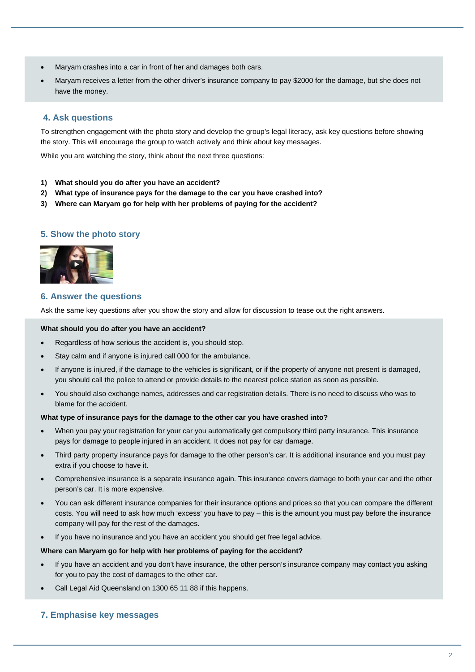- Maryam crashes into a car in front of her and damages both cars.
- Maryam receives a letter from the other driver's insurance company to pay \$2000 for the damage, but she does not have the money.

# **4. Ask questions**

To strengthen engagement with the photo story and develop the group's legal literacy, ask key questions before showing the story. This will encourage the group to watch actively and think about key messages.

While you are watching the story, think about the next three questions:

- **1) What should you do after you have an accident?**
- **2) What type of insurance pays for the damage to the car you have crashed into?**
- **3) Where can Maryam go for help with her problems of paying for the accident?**

# **5. Show the photo story**



# **6. Answer the questions**

Ask the same key questions after you show the story and allow for discussion to tease out the right answers.

#### **What should you do after you have an accident?**

- Regardless of how serious the accident is, you should stop.
- Stay calm and if anyone is injured call 000 for the ambulance.
- If anyone is injured, if the damage to the vehicles is significant, or if the property of anyone not present is damaged, you should call the police to attend or provide details to the nearest police station as soon as possible.
- You should also exchange names, addresses and car registration details. There is no need to discuss who was to blame for the accident.

#### **What type of insurance pays for the damage to the other car you have crashed into?**

- When you pay your registration for your car you automatically get compulsory third party insurance. This insurance pays for damage to people injured in an accident. It does not pay for car damage.
- Third party property insurance pays for damage to the other person's car. It is additional insurance and you must pay extra if you choose to have it.
- Comprehensive insurance is a separate insurance again. This insurance covers damage to both your car and the other person's car. It is more expensive.
- You can ask different insurance companies for their insurance options and prices so that you can compare the different costs. You will need to ask how much 'excess' you have to pay – this is the amount you must pay before the insurance company will pay for the rest of the damages.
- If you have no insurance and you have an accident you should get free legal advice.

#### **Where can Maryam go for help with her problems of paying for the accident?**

- If you have an accident and you don't have insurance, the other person's insurance company may contact you asking for you to pay the cost of damages to the other car.
- Call Legal Aid Queensland on 1300 65 11 88 if this happens.

# **7. Emphasise key messages**